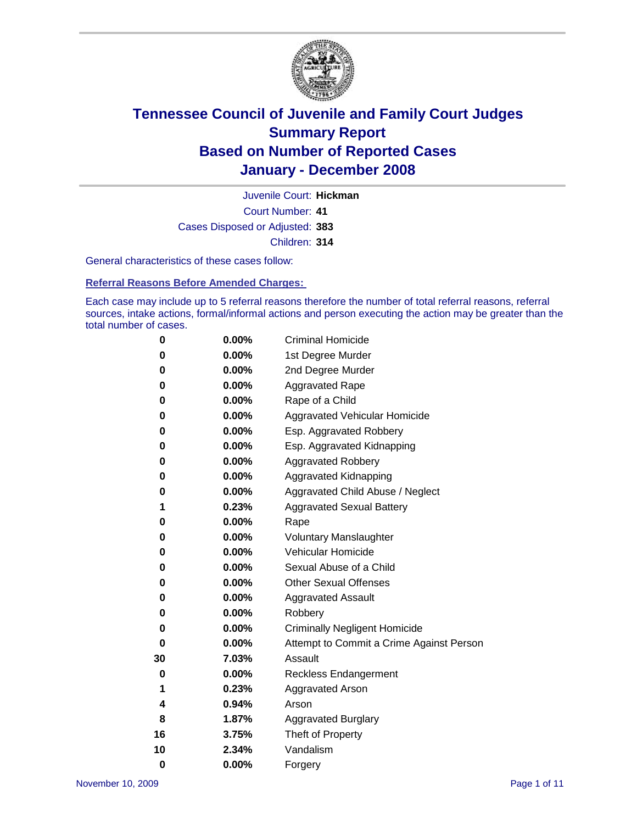

Court Number: **41** Juvenile Court: **Hickman** Cases Disposed or Adjusted: **383** Children: **314**

General characteristics of these cases follow:

**Referral Reasons Before Amended Charges:** 

Each case may include up to 5 referral reasons therefore the number of total referral reasons, referral sources, intake actions, formal/informal actions and person executing the action may be greater than the total number of cases.

| 0  | 0.00%    | <b>Criminal Homicide</b>                 |
|----|----------|------------------------------------------|
| 0  | 0.00%    | 1st Degree Murder                        |
| 0  | $0.00\%$ | 2nd Degree Murder                        |
| 0  | 0.00%    | <b>Aggravated Rape</b>                   |
| 0  | 0.00%    | Rape of a Child                          |
| 0  | 0.00%    | Aggravated Vehicular Homicide            |
| 0  | 0.00%    | Esp. Aggravated Robbery                  |
| 0  | 0.00%    | Esp. Aggravated Kidnapping               |
| 0  | 0.00%    | <b>Aggravated Robbery</b>                |
| 0  | 0.00%    | Aggravated Kidnapping                    |
| 0  | 0.00%    | Aggravated Child Abuse / Neglect         |
| 1  | 0.23%    | <b>Aggravated Sexual Battery</b>         |
| 0  | 0.00%    | Rape                                     |
| 0  | 0.00%    | <b>Voluntary Manslaughter</b>            |
| 0  | 0.00%    | Vehicular Homicide                       |
| 0  | 0.00%    | Sexual Abuse of a Child                  |
| 0  | 0.00%    | <b>Other Sexual Offenses</b>             |
| 0  | 0.00%    | <b>Aggravated Assault</b>                |
| 0  | $0.00\%$ | Robbery                                  |
| 0  | 0.00%    | <b>Criminally Negligent Homicide</b>     |
| 0  | 0.00%    | Attempt to Commit a Crime Against Person |
| 30 | 7.03%    | Assault                                  |
| 0  | 0.00%    | <b>Reckless Endangerment</b>             |
| 1  | 0.23%    | <b>Aggravated Arson</b>                  |
| 4  | 0.94%    | Arson                                    |
| 8  | 1.87%    | <b>Aggravated Burglary</b>               |
| 16 | 3.75%    | Theft of Property                        |
| 10 | 2.34%    | Vandalism                                |
| 0  | 0.00%    | Forgery                                  |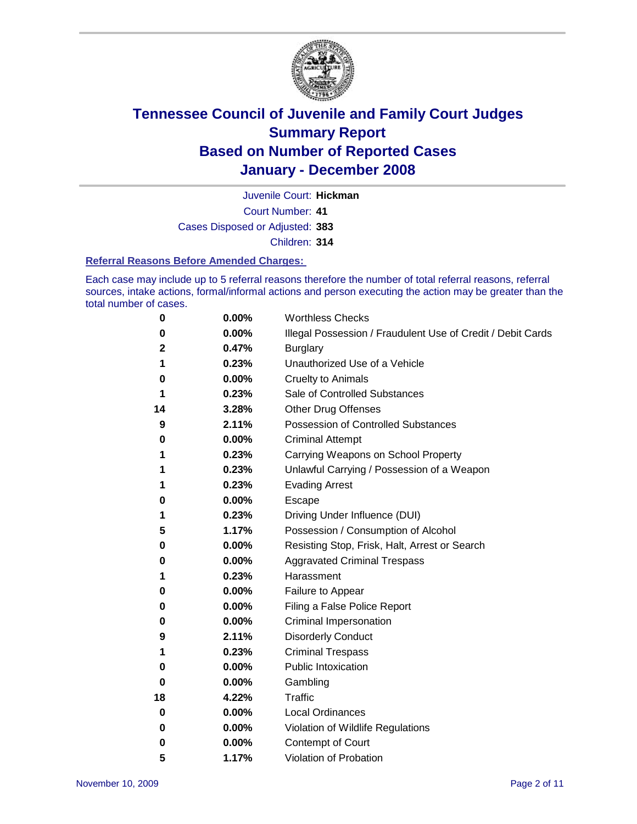

Court Number: **41** Juvenile Court: **Hickman** Cases Disposed or Adjusted: **383** Children: **314**

#### **Referral Reasons Before Amended Charges:**

Each case may include up to 5 referral reasons therefore the number of total referral reasons, referral sources, intake actions, formal/informal actions and person executing the action may be greater than the total number of cases.

| 0  | 0.00% | <b>Worthless Checks</b>                                     |
|----|-------|-------------------------------------------------------------|
| 0  | 0.00% | Illegal Possession / Fraudulent Use of Credit / Debit Cards |
| 2  | 0.47% | <b>Burglary</b>                                             |
| 1  | 0.23% | Unauthorized Use of a Vehicle                               |
| 0  | 0.00% | <b>Cruelty to Animals</b>                                   |
| 1  | 0.23% | Sale of Controlled Substances                               |
| 14 | 3.28% | <b>Other Drug Offenses</b>                                  |
| 9  | 2.11% | <b>Possession of Controlled Substances</b>                  |
| 0  | 0.00% | <b>Criminal Attempt</b>                                     |
| 1  | 0.23% | Carrying Weapons on School Property                         |
| 1  | 0.23% | Unlawful Carrying / Possession of a Weapon                  |
| 1  | 0.23% | <b>Evading Arrest</b>                                       |
| 0  | 0.00% | Escape                                                      |
| 1  | 0.23% | Driving Under Influence (DUI)                               |
| 5  | 1.17% | Possession / Consumption of Alcohol                         |
| 0  | 0.00% | Resisting Stop, Frisk, Halt, Arrest or Search               |
| 0  | 0.00% | <b>Aggravated Criminal Trespass</b>                         |
| 1  | 0.23% | Harassment                                                  |
| 0  | 0.00% | Failure to Appear                                           |
| 0  | 0.00% | Filing a False Police Report                                |
| 0  | 0.00% | Criminal Impersonation                                      |
| 9  | 2.11% | <b>Disorderly Conduct</b>                                   |
| 1  | 0.23% | <b>Criminal Trespass</b>                                    |
| 0  | 0.00% | <b>Public Intoxication</b>                                  |
| 0  | 0.00% | Gambling                                                    |
| 18 | 4.22% | <b>Traffic</b>                                              |
| 0  | 0.00% | Local Ordinances                                            |
| 0  | 0.00% | Violation of Wildlife Regulations                           |
| 0  | 0.00% | Contempt of Court                                           |
| 5  | 1.17% | Violation of Probation                                      |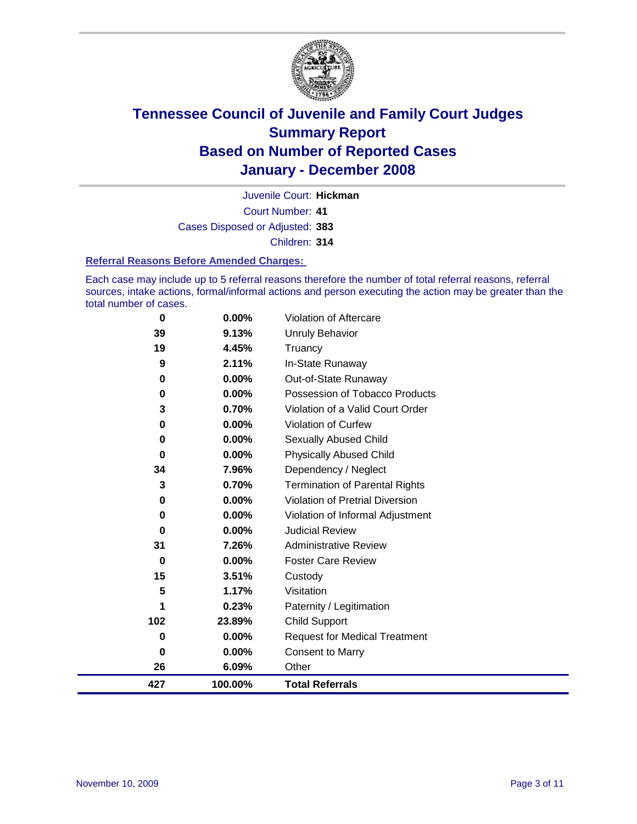

Court Number: **41** Juvenile Court: **Hickman** Cases Disposed or Adjusted: **383** Children: **314**

#### **Referral Reasons Before Amended Charges:**

Each case may include up to 5 referral reasons therefore the number of total referral reasons, referral sources, intake actions, formal/informal actions and person executing the action may be greater than the total number of cases.

| 427 | 100.00% | <b>Total Referrals</b>                |
|-----|---------|---------------------------------------|
| 26  | 6.09%   | Other                                 |
| 0   | 0.00%   | <b>Consent to Marry</b>               |
| 0   | 0.00%   | <b>Request for Medical Treatment</b>  |
| 102 | 23.89%  | Child Support                         |
| 1   | 0.23%   | Paternity / Legitimation              |
| 5   | 1.17%   | Visitation                            |
| 15  | 3.51%   | Custody                               |
| 0   | 0.00%   | <b>Foster Care Review</b>             |
| 31  | 7.26%   | <b>Administrative Review</b>          |
| 0   | 0.00%   | <b>Judicial Review</b>                |
| 0   | 0.00%   | Violation of Informal Adjustment      |
| 0   | 0.00%   | Violation of Pretrial Diversion       |
| 3   | 0.70%   | <b>Termination of Parental Rights</b> |
| 34  | 7.96%   | Dependency / Neglect                  |
| 0   | 0.00%   | <b>Physically Abused Child</b>        |
| 0   | 0.00%   | <b>Sexually Abused Child</b>          |
| 0   | 0.00%   | Violation of Curfew                   |
| 3   | 0.70%   | Violation of a Valid Court Order      |
| 0   | 0.00%   | Possession of Tobacco Products        |
| 0   | 0.00%   | Out-of-State Runaway                  |
| 9   | 2.11%   | In-State Runaway                      |
| 19  | 4.45%   | Truancy                               |
| 39  | 9.13%   | Unruly Behavior                       |
| 0   | 0.00%   | Violation of Aftercare                |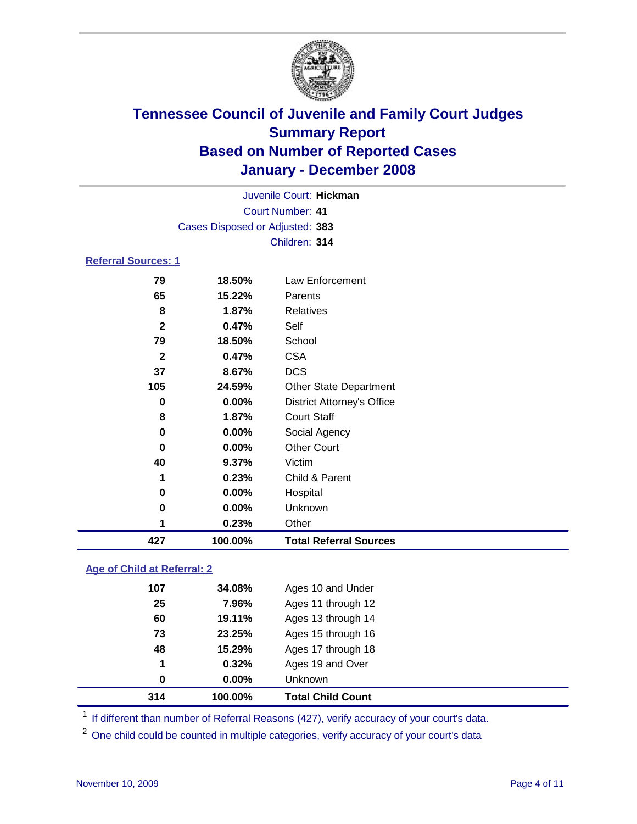

|                            |                                 | Juvenile Court: Hickman           |  |  |  |  |
|----------------------------|---------------------------------|-----------------------------------|--|--|--|--|
|                            | <b>Court Number: 41</b>         |                                   |  |  |  |  |
|                            | Cases Disposed or Adjusted: 383 |                                   |  |  |  |  |
|                            |                                 | Children: 314                     |  |  |  |  |
| <b>Referral Sources: 1</b> |                                 |                                   |  |  |  |  |
| 79                         | 18.50%                          | Law Enforcement                   |  |  |  |  |
| 65                         | 15.22%                          | Parents                           |  |  |  |  |
| 8                          | 1.87%                           | <b>Relatives</b>                  |  |  |  |  |
| $\mathbf{2}$               | 0.47%                           | Self                              |  |  |  |  |
| 79                         | 18.50%                          | School                            |  |  |  |  |
| $\mathbf{2}$               | 0.47%                           | CSA                               |  |  |  |  |
| 37                         | 8.67%                           | <b>DCS</b>                        |  |  |  |  |
| 105                        | 24.59%                          | <b>Other State Department</b>     |  |  |  |  |
| 0                          | $0.00\%$                        | <b>District Attorney's Office</b> |  |  |  |  |
| 8                          | 1.87%                           | <b>Court Staff</b>                |  |  |  |  |

# **0.23%** Other **100.00% Total Referral Sources**

 **0.00%** Social Agency **0.00%** Other Court

**0.23%** Child & Parent

 **0.00%** Hospital **0.00%** Unknown

#### **Age of Child at Referral: 2**

| 1<br>0 | 0.32%<br>$0.00\%$ | Ages 19 and Over<br>Unknown |  |
|--------|-------------------|-----------------------------|--|
|        |                   |                             |  |
|        |                   |                             |  |
|        |                   | Ages 17 through 18          |  |
| 73     | 23.25%            | Ages 15 through 16          |  |
| 60     | 19.11%            | Ages 13 through 14          |  |
| 25     | 7.96%             | Ages 11 through 12          |  |
| 107    | 34.08%            | Ages 10 and Under           |  |
|        |                   | 48<br>15.29%                |  |

**9.37%** Victim

<sup>1</sup> If different than number of Referral Reasons (427), verify accuracy of your court's data.

<sup>2</sup> One child could be counted in multiple categories, verify accuracy of your court's data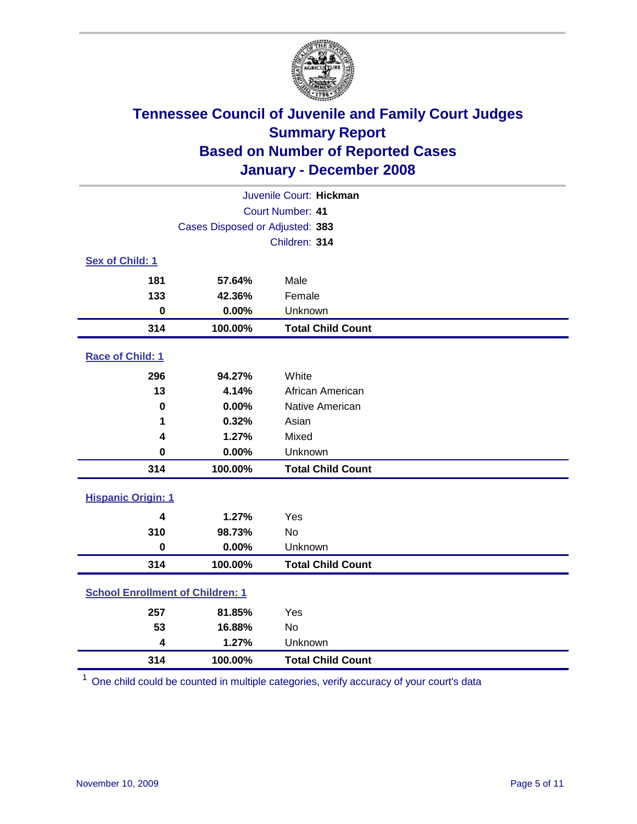

| Juvenile Court: Hickman                 |                                 |                          |  |  |
|-----------------------------------------|---------------------------------|--------------------------|--|--|
| Court Number: 41                        |                                 |                          |  |  |
|                                         | Cases Disposed or Adjusted: 383 |                          |  |  |
|                                         |                                 | Children: 314            |  |  |
| Sex of Child: 1                         |                                 |                          |  |  |
| 181                                     | 57.64%                          | Male                     |  |  |
| 133                                     | 42.36%                          | Female                   |  |  |
| $\bf{0}$                                | 0.00%                           | Unknown                  |  |  |
| 314                                     | 100.00%                         | <b>Total Child Count</b> |  |  |
| <b>Race of Child: 1</b>                 |                                 |                          |  |  |
| 296                                     | 94.27%                          | White                    |  |  |
| 13                                      | 4.14%                           | African American         |  |  |
| 0                                       | 0.00%                           | Native American          |  |  |
| 1                                       | 0.32%                           | Asian                    |  |  |
| 4                                       | 1.27%                           | Mixed                    |  |  |
| $\bf{0}$                                | 0.00%                           | Unknown                  |  |  |
| 314                                     | 100.00%                         | <b>Total Child Count</b> |  |  |
| <b>Hispanic Origin: 1</b>               |                                 |                          |  |  |
| 4                                       | 1.27%                           | Yes                      |  |  |
| 310                                     | 98.73%                          | <b>No</b>                |  |  |
| $\mathbf 0$                             | 0.00%                           | Unknown                  |  |  |
| 314                                     | 100.00%                         | <b>Total Child Count</b> |  |  |
| <b>School Enrollment of Children: 1</b> |                                 |                          |  |  |
| 257                                     | 81.85%                          | Yes                      |  |  |
| 53                                      | 16.88%                          | No                       |  |  |
| 4                                       | 1.27%                           | Unknown                  |  |  |
| 314                                     | 100.00%                         | <b>Total Child Count</b> |  |  |

One child could be counted in multiple categories, verify accuracy of your court's data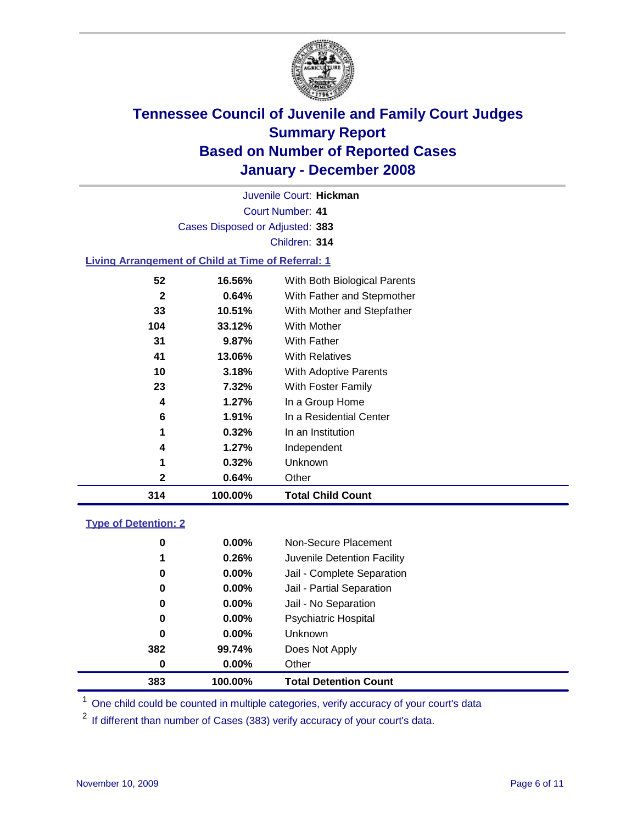

Court Number: **41** Juvenile Court: **Hickman** Cases Disposed or Adjusted: **383** Children: **314**

#### **Living Arrangement of Child at Time of Referral: 1**

| 314 | 100.00% | <b>Total Child Count</b>     |
|-----|---------|------------------------------|
| 2   | 0.64%   | Other                        |
| 1   | 0.32%   | Unknown                      |
| 4   | 1.27%   | Independent                  |
| 1   | 0.32%   | In an Institution            |
| 6   | 1.91%   | In a Residential Center      |
| 4   | 1.27%   | In a Group Home              |
| 23  | 7.32%   | With Foster Family           |
| 10  | 3.18%   | With Adoptive Parents        |
| 41  | 13.06%  | <b>With Relatives</b>        |
| 31  | 9.87%   | <b>With Father</b>           |
| 104 | 33.12%  | With Mother                  |
| 33  | 10.51%  | With Mother and Stepfather   |
| 2   | 0.64%   | With Father and Stepmother   |
| 52  | 16.56%  | With Both Biological Parents |
|     |         |                              |

#### **Type of Detention: 2**

| 383 | 100.00%  | <b>Total Detention Count</b> |  |
|-----|----------|------------------------------|--|
| 0   | $0.00\%$ | Other                        |  |
| 382 | 99.74%   | Does Not Apply               |  |
| 0   | $0.00\%$ | <b>Unknown</b>               |  |
| 0   | $0.00\%$ | <b>Psychiatric Hospital</b>  |  |
| 0   | $0.00\%$ | Jail - No Separation         |  |
| 0   | $0.00\%$ | Jail - Partial Separation    |  |
| 0   | $0.00\%$ | Jail - Complete Separation   |  |
| 1   | 0.26%    | Juvenile Detention Facility  |  |
| 0   | $0.00\%$ | Non-Secure Placement         |  |
|     |          |                              |  |

<sup>1</sup> One child could be counted in multiple categories, verify accuracy of your court's data

<sup>2</sup> If different than number of Cases (383) verify accuracy of your court's data.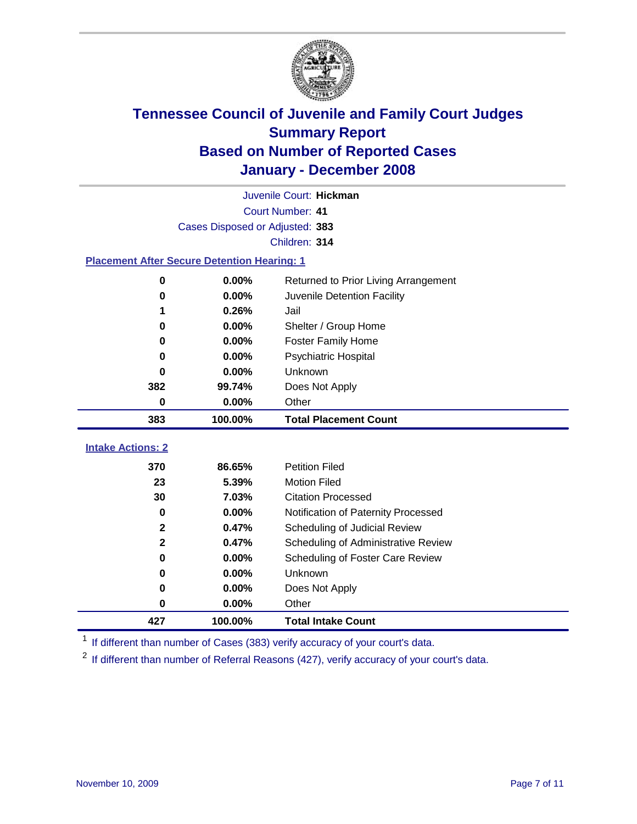

|                                                    | Juvenile Court: Hickman         |                                      |  |  |  |
|----------------------------------------------------|---------------------------------|--------------------------------------|--|--|--|
|                                                    | Court Number: 41                |                                      |  |  |  |
|                                                    | Cases Disposed or Adjusted: 383 |                                      |  |  |  |
|                                                    |                                 | Children: 314                        |  |  |  |
| <b>Placement After Secure Detention Hearing: 1</b> |                                 |                                      |  |  |  |
| 0                                                  | 0.00%                           | Returned to Prior Living Arrangement |  |  |  |
| $\bf{0}$                                           | 0.00%                           | Juvenile Detention Facility          |  |  |  |
|                                                    | 0.26%                           | Jail                                 |  |  |  |
| $\bf{0}$                                           | $0.00\%$                        | Shelter / Group Home                 |  |  |  |
| 0                                                  | 0.00%                           | <b>Foster Family Home</b>            |  |  |  |
| $\bf{0}$                                           | 0.00%                           | Psychiatric Hospital                 |  |  |  |
| 0                                                  | 0.00%                           | Unknown                              |  |  |  |
| 382                                                | 99.74%                          | Does Not Apply                       |  |  |  |
| $\bf{0}$                                           | 0.00%                           | Other                                |  |  |  |
| 383                                                | 100.00%                         | <b>Total Placement Count</b>         |  |  |  |
| <b>Intake Actions: 2</b>                           |                                 |                                      |  |  |  |
|                                                    |                                 |                                      |  |  |  |
| 370                                                | 86.65%                          | <b>Petition Filed</b>                |  |  |  |
| 23                                                 | 5.39%                           | <b>Motion Filed</b>                  |  |  |  |
| 30                                                 | 7.03%                           | <b>Citation Processed</b>            |  |  |  |
| $\bf{0}$                                           | 0.00%                           | Notification of Paternity Processed  |  |  |  |
| $\mathbf 2$                                        | 0.47%                           | Scheduling of Judicial Review        |  |  |  |
| $\mathbf 2$                                        | 0.47%                           | Scheduling of Administrative Review  |  |  |  |
| $\bf{0}$                                           | 0.00%                           | Scheduling of Foster Care Review     |  |  |  |
| $\bf{0}$                                           | 0.00%                           | Unknown                              |  |  |  |
| $\bf{0}$                                           | 0.00%                           | Does Not Apply                       |  |  |  |
| 0                                                  | 0.00%                           | Other                                |  |  |  |
| 427                                                | 100.00%                         | <b>Total Intake Count</b>            |  |  |  |

<sup>1</sup> If different than number of Cases (383) verify accuracy of your court's data.

<sup>2</sup> If different than number of Referral Reasons (427), verify accuracy of your court's data.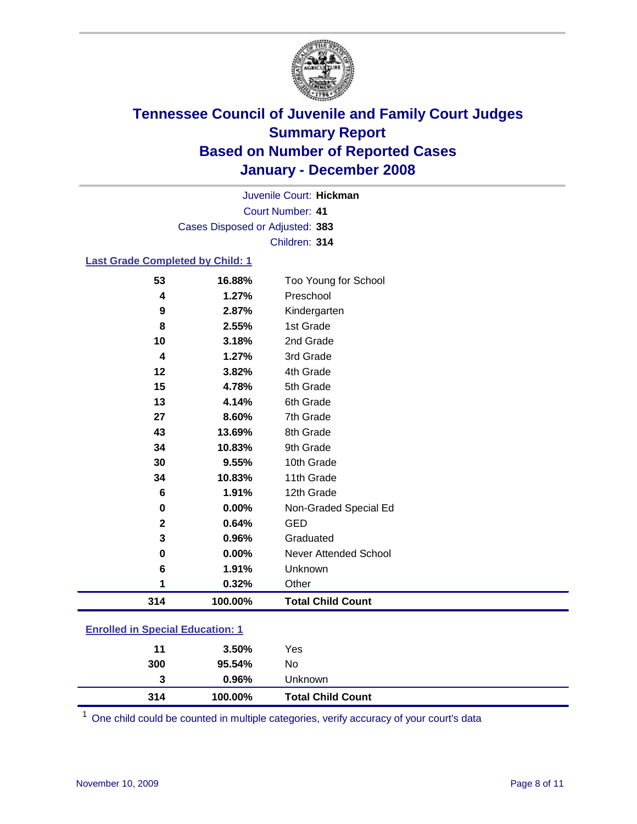

Court Number: **41** Juvenile Court: **Hickman** Cases Disposed or Adjusted: **383** Children: **314**

#### **Last Grade Completed by Child: 1**

| 314         | 100.00% | <b>Total Child Count</b> |
|-------------|---------|--------------------------|
| 1           | 0.32%   | Other                    |
| 6           | 1.91%   | Unknown                  |
| 0           | 0.00%   | Never Attended School    |
| 3           | 0.96%   | Graduated                |
| $\mathbf 2$ | 0.64%   | <b>GED</b>               |
| 0           | 0.00%   | Non-Graded Special Ed    |
| 6           | 1.91%   | 12th Grade               |
| 34          | 10.83%  | 11th Grade               |
| 30          | 9.55%   | 10th Grade               |
| 34          | 10.83%  | 9th Grade                |
| 43          | 13.69%  | 8th Grade                |
| 27          | 8.60%   | 7th Grade                |
| 13          | 4.14%   | 6th Grade                |
| 15          | 4.78%   | 5th Grade                |
| 12          | 3.82%   | 4th Grade                |
| 4           | 1.27%   | 3rd Grade                |
| 10          | 3.18%   | 2nd Grade                |
| 8           | 2.55%   | 1st Grade                |
| 9           | 2.87%   | Kindergarten             |
| 4           | 1.27%   | Preschool                |
| 53          | 16.88%  | Too Young for School     |

### **Enrolled in Special Education: 1**

| 314 | 100.00% | <b>Total Child Count</b> |  |
|-----|---------|--------------------------|--|
| 3   | 0.96%   | Unknown                  |  |
| 300 | 95.54%  | No                       |  |
| 11  | 3.50%   | Yes                      |  |
|     |         |                          |  |

<sup>1</sup> One child could be counted in multiple categories, verify accuracy of your court's data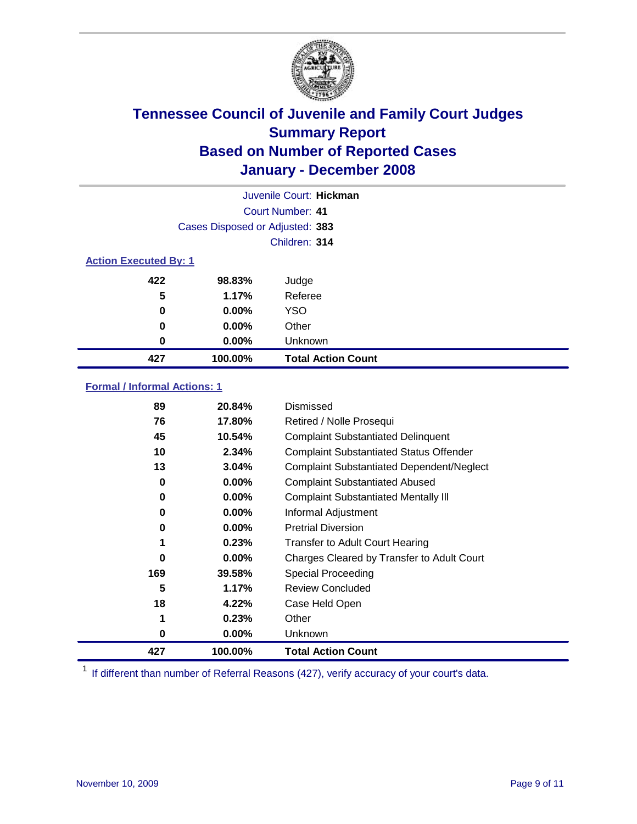

|                              | Juvenile Court: Hickman         |                           |  |  |
|------------------------------|---------------------------------|---------------------------|--|--|
|                              | Court Number: 41                |                           |  |  |
|                              | Cases Disposed or Adjusted: 383 |                           |  |  |
|                              |                                 | Children: 314             |  |  |
| <b>Action Executed By: 1</b> |                                 |                           |  |  |
| 422                          | 98.83%                          | Judge                     |  |  |
| 5                            | 1.17%                           | Referee                   |  |  |
| 0                            | $0.00\%$                        | <b>YSO</b>                |  |  |
| 0                            | 0.00%                           | Other                     |  |  |
| 0                            | 0.00%                           | Unknown                   |  |  |
| 427                          | 100.00%                         | <b>Total Action Count</b> |  |  |

#### **Formal / Informal Actions: 1**

| 89  | 20.84%   | Dismissed                                        |
|-----|----------|--------------------------------------------------|
| 76  | 17.80%   | Retired / Nolle Prosequi                         |
| 45  | 10.54%   | <b>Complaint Substantiated Delinquent</b>        |
| 10  | 2.34%    | <b>Complaint Substantiated Status Offender</b>   |
| 13  | 3.04%    | <b>Complaint Substantiated Dependent/Neglect</b> |
| 0   | $0.00\%$ | <b>Complaint Substantiated Abused</b>            |
| 0   | $0.00\%$ | <b>Complaint Substantiated Mentally III</b>      |
| 0   | $0.00\%$ | Informal Adjustment                              |
| 0   | $0.00\%$ | <b>Pretrial Diversion</b>                        |
| 1   | 0.23%    | <b>Transfer to Adult Court Hearing</b>           |
| 0   | $0.00\%$ | Charges Cleared by Transfer to Adult Court       |
| 169 | 39.58%   | Special Proceeding                               |
| 5   | 1.17%    | <b>Review Concluded</b>                          |
| 18  | 4.22%    | Case Held Open                                   |
| 1   | 0.23%    | Other                                            |
| 0   | $0.00\%$ | Unknown                                          |
| 427 | 100.00%  | <b>Total Action Count</b>                        |

<sup>1</sup> If different than number of Referral Reasons (427), verify accuracy of your court's data.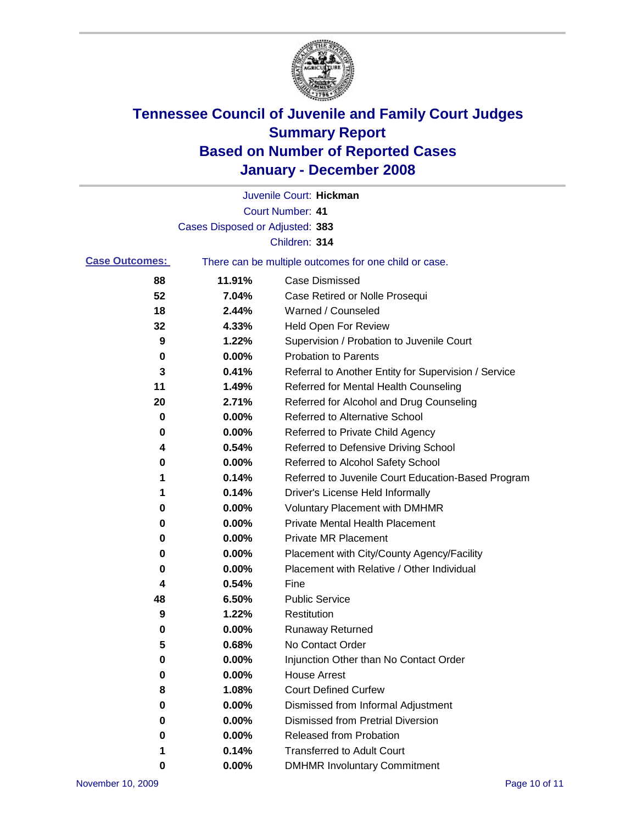

|                       |                                 | Juvenile Court: Hickman                               |
|-----------------------|---------------------------------|-------------------------------------------------------|
|                       |                                 | <b>Court Number: 41</b>                               |
|                       | Cases Disposed or Adjusted: 383 |                                                       |
|                       |                                 | Children: 314                                         |
| <b>Case Outcomes:</b> |                                 | There can be multiple outcomes for one child or case. |
| 88                    | 11.91%                          | <b>Case Dismissed</b>                                 |
| 52                    | 7.04%                           | Case Retired or Nolle Prosequi                        |
| 18                    | 2.44%                           | Warned / Counseled                                    |
| 32                    | 4.33%                           | Held Open For Review                                  |
| 9                     | 1.22%                           | Supervision / Probation to Juvenile Court             |
| 0                     | 0.00%                           | <b>Probation to Parents</b>                           |
| 3                     | 0.41%                           | Referral to Another Entity for Supervision / Service  |
| 11                    | 1.49%                           | Referred for Mental Health Counseling                 |
| 20                    | 2.71%                           | Referred for Alcohol and Drug Counseling              |
| 0                     | 0.00%                           | <b>Referred to Alternative School</b>                 |
| 0                     | 0.00%                           | Referred to Private Child Agency                      |
| 4                     | 0.54%                           | Referred to Defensive Driving School                  |
| 0                     | 0.00%                           | Referred to Alcohol Safety School                     |
| 1                     | 0.14%                           | Referred to Juvenile Court Education-Based Program    |
| 1                     | 0.14%                           | Driver's License Held Informally                      |
| 0                     | 0.00%                           | <b>Voluntary Placement with DMHMR</b>                 |
| 0                     | 0.00%                           | <b>Private Mental Health Placement</b>                |
| 0                     | 0.00%                           | <b>Private MR Placement</b>                           |
| 0                     | 0.00%                           | Placement with City/County Agency/Facility            |
| 0                     | 0.00%                           | Placement with Relative / Other Individual            |
| 4                     | 0.54%                           | Fine                                                  |
| 48                    | 6.50%                           | <b>Public Service</b>                                 |
| 9                     | 1.22%                           | Restitution                                           |
| 0                     | 0.00%                           | <b>Runaway Returned</b>                               |
| 5                     | 0.68%                           | No Contact Order                                      |
| $\boldsymbol{0}$      | 0.00%                           | Injunction Other than No Contact Order                |
| 0                     | 0.00%                           | <b>House Arrest</b>                                   |
| 8                     | 1.08%                           | <b>Court Defined Curfew</b>                           |
| 0                     | 0.00%                           | Dismissed from Informal Adjustment                    |
| 0                     | 0.00%                           | <b>Dismissed from Pretrial Diversion</b>              |
| 0                     | 0.00%                           | Released from Probation                               |
| 1                     | 0.14%                           | <b>Transferred to Adult Court</b>                     |
| 0                     | 0.00%                           | <b>DMHMR Involuntary Commitment</b>                   |